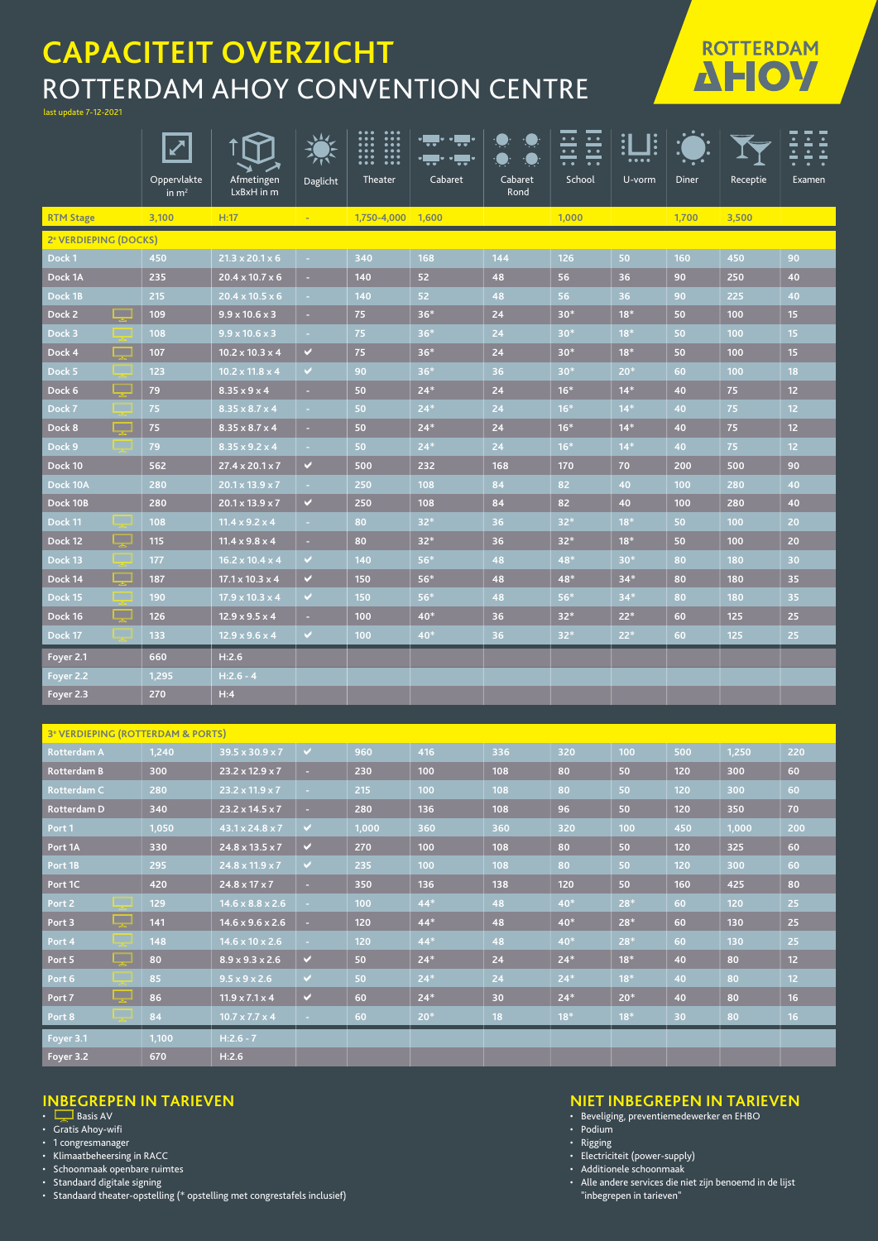# **CAPACITEIT OVERZICHT** ROTTERDAM AHOY CONVENTION CENTRE

last update 7-12-2021

|                                    | Ø                      |                             |          | $\bullet\bullet\bullet$<br>$\bullet\bullet\bullet$<br><br>$\frac{1}{2}$<br>$\frac{1}{1}$ |         |                 | <u>:i</u><br>$\bullet\hspace{0.4mm}\bullet\hspace{0.4mm}$<br>$\cdot \cdot$<br>$\bullet\hspace{1mm}\bullet\hspace{1mm}$<br>$\bullet\hspace{0.4mm}\bullet\hspace{0.4mm}\bullet\hspace{0.4mm}$ | <u>]:</u><br> |              |          | ≟                |
|------------------------------------|------------------------|-----------------------------|----------|------------------------------------------------------------------------------------------|---------|-----------------|---------------------------------------------------------------------------------------------------------------------------------------------------------------------------------------------|---------------|--------------|----------|------------------|
|                                    | Oppervlakte<br>in $m2$ | Afmetingen<br>LxBxH in m    | Daglicht | Theater                                                                                  | Cabaret | Cabaret<br>Rond | School                                                                                                                                                                                      | U-vorm        | <b>Diner</b> | Receptie | Examen           |
| <b>RTM Stage</b>                   | 3.100                  | H:17                        | $\sim$   | 1,750-4,000 1,600                                                                        |         |                 | 1.000                                                                                                                                                                                       |               | 1,700        | 3,500    |                  |
| 2 <sup>e</sup> VERDIEPING (DOCKS)  |                        |                             |          |                                                                                          |         |                 |                                                                                                                                                                                             |               |              |          |                  |
| Dock 1                             | 450                    | $21.3 \times 20.1 \times 6$ | ×        | 340                                                                                      | 168     | 144             | 126                                                                                                                                                                                         | 50            | 160          | 450      | 90               |
| Dock 1A                            | 235                    | $20.4 \times 10.7 \times 6$ | ٠        | 140                                                                                      | 52      | 48              | 56                                                                                                                                                                                          | 36            | 90           | 250      | 40               |
| Dock 1B                            | 215                    | $20.4 \times 10.5 \times 6$ | $\sim$   | 140                                                                                      | 52      | 48              | 56                                                                                                                                                                                          | 36            | 90           | 225      | 40               |
| Dock 2<br>. .                      | 109                    | $9.9 \times 10.6 \times 3$  | $\sim$   | 75                                                                                       | $36*$   | 24              | $30*$                                                                                                                                                                                       | $18*$         | 50           | 100      | 15 <sub>15</sub> |
| Dock 3                             | 108                    | $9.9 \times 10.6 \times 3$  | $\sim$   | 75                                                                                       | $36*$   | 24              | $30*$                                                                                                                                                                                       | $18*$         | 50           | 100      | 15 <sub>1</sub>  |
| <b>The Second Second</b><br>Dock 4 | 107                    | $10.2 \times 10.3 \times 4$ | v        | 75                                                                                       | $36*$   | 24              | $30*$                                                                                                                                                                                       | $18*$         | 50           | 100      | 15               |
| Dock 5                             | 123                    | $10.2 \times 11.8 \times 4$ | V        | 90                                                                                       | $36*$   | 36              | $30*$                                                                                                                                                                                       | $20*$         | 60           | 100      | 18               |
| <u>La d</u><br>Dock 6              | 79                     | $8.35 \times 9 \times 4$    | ×        | 50                                                                                       | $24*$   | 24              | $16*$                                                                                                                                                                                       | $14*$         | 40           | 75       | 12 <sup>2</sup>  |
| Dock 7                             | 75                     | $8.35 \times 8.7 \times 4$  | ×.       | 50                                                                                       | $24*$   | 24              | $16*$                                                                                                                                                                                       | $14*$         | 40           | 75       | 12               |
| <b>ISSUED</b><br>Dock 8            | 75                     | $8.35 \times 8.7 \times 4$  | $\sim$   | 50                                                                                       | $24*$   | 24              | $16*$                                                                                                                                                                                       | $14*$         | 40           | 75       | 12 <sup>2</sup>  |
| Dock 9                             | 79                     | $8.35 \times 9.2 \times 4$  | $\sim$   | 50                                                                                       | $24*$   | 24              | $16*$                                                                                                                                                                                       | $14*$         | 40           | 75       | 12               |
| Dock 10                            | 562                    | $27.4 \times 20.1 \times 7$ | ✔        | 500                                                                                      | 232     | 168             | 170                                                                                                                                                                                         | 70            | 200          | 500      | 90               |
| Dock 10A                           | 280                    | $20.1 \times 13.9 \times 7$ | $\sim$   | 250                                                                                      | 108     | 84              | 82                                                                                                                                                                                          | 40            | 100          | 280      | 40               |
| Dock 10B                           | 280                    | $20.1 \times 13.9 \times 7$ | V        | 250                                                                                      | 108     | 84              | 82                                                                                                                                                                                          | 40            | 100          | 280      | 40               |
| Dock 11                            | 108                    | $11.4 \times 9.2 \times 4$  | ×.       | 80                                                                                       | $32*$   | 36              | $32*$                                                                                                                                                                                       | $18*$         | 50           | 100      | 20               |
| <u>La d</u><br>Dock 12             | 115                    | $11.4 \times 9.8 \times 4$  | ×.       | 80                                                                                       | $32*$   | 36              | $32*$                                                                                                                                                                                       | $18*$         | 50           | 100      | 20               |
| Dock 13                            | 177                    | $16.2 \times 10.4 \times 4$ | v.       | 140                                                                                      | $56*$   | 48              | 48*                                                                                                                                                                                         | $30*$         | 80           | 180      | 30               |
| <b>Designation</b><br>Dock 14      | 187                    | $17.1 \times 10.3 \times 4$ | V        | 150                                                                                      | 56*     | 48              | 48*                                                                                                                                                                                         | $34*$         | 80           | 180      | 35               |
| Dock 15                            | 190                    | $17.9 \times 10.3 \times 4$ | V        | 150                                                                                      | $56*$   | 48              | $56*$                                                                                                                                                                                       | $34*$         | 80           | 180      | 35               |
| ட<br>Dock 16                       | 126                    | $12.9 \times 9.5 \times 4$  | $\sim$   | 100                                                                                      | 40*     | 36              | $32*$                                                                                                                                                                                       | $22*$         | 60           | 125      | 25               |
| Dock 17                            | 133                    | $12.9 \times 9.6 \times 4$  | v.       | 100                                                                                      | 40*     | 36              | $32*$                                                                                                                                                                                       | $22*$         | 60           | 125      | 25               |
| Foyer 2.1                          | 660                    | H:2.6                       |          |                                                                                          |         |                 |                                                                                                                                                                                             |               |              |          |                  |
| <u> Foyer 2.2</u>                  | 1,295                  | $H:2.6 - 4$                 |          |                                                                                          |         |                 |                                                                                                                                                                                             |               |              |          |                  |
| Foyer 2.3                          | 270                    | H:4                         |          |                                                                                          |         |                 |                                                                                                                                                                                             |               |              |          |                  |

#### **3e VERDIEPING (ROTTERDAM & PORTS)**

| <b>Rotterdam A</b>     | 1,240 | $39.5 \times 30.9 \times 7$  | $\vee$                      | 960   | 416   | 336 | 320   | 100   | 500             | 1,250 | 220 |  |  |
|------------------------|-------|------------------------------|-----------------------------|-------|-------|-----|-------|-------|-----------------|-------|-----|--|--|
| <b>Rotterdam B</b>     | 300   | $23.2 \times 12.9 \times 7$  | $\sim$                      | 230   | 100   | 108 | 80    | 50    | 120             | 300   | 60  |  |  |
| <b>Rotterdam C</b>     | 280   | $23.2 \times 11.9 \times 7$  | $\sim$ 10 $\pm$             | 215   | 100   | 108 | 80    | 50    | 120             | 300   | 60  |  |  |
| <b>Rotterdam D</b>     | 340   | $23.2 \times 14.5 \times 7$  | <b>H</b>                    | 280   | 136   | 108 | 96    | 50    | 120             | 350   | 70  |  |  |
| Port 1                 | 1,050 | 43.1 x 24.8 x 7              | V.                          | 1,000 | 360   | 360 | 320   | 100   | 450             | 1,000 | 200 |  |  |
| Port 1A                | 330   | $24.8 \times 13.5 \times 7$  | $\checkmark$                | 270   | 100   | 108 | 80    | 50    | 120             | 325   | 60  |  |  |
| Port 1B                | 295   | $24.8 \times 11.9 \times 7$  | $\checkmark$                | 235   | 100   | 108 | 80    | 50    | 120             | 300   | 60  |  |  |
| Port 1C                | 420   | $24.8 \times 17 \times 7$    | $\sim$                      | 350   | 136   | 138 | 120   | 50    | 160             | 425   | 80  |  |  |
| Port 2                 | 129   | $14.6 \times 8.8 \times 2.6$ | $\sim$                      | 100   | $44*$ | 48  | $40*$ | $28*$ | 60              | 120   | 25  |  |  |
| سي<br>Port 3           | 141   | $14.6 \times 9.6 \times 2.6$ | ×.                          | 120   | $44*$ | 48  | $40*$ | $28*$ | 60              | 130   | 25  |  |  |
| Port 4                 | 148   | $14.6 \times 10 \times 2.6$  | $\sim$                      | 120   | $44*$ | 48  | 40*   | $28*$ | 60              | 130   | 25  |  |  |
| ا پ<br>Port 5          | 80    | $8.9 \times 9.3 \times 2.6$  | $\checkmark$                | 50    | $24*$ | 24  | $24*$ | $18*$ | 40              | 80    | 12  |  |  |
| Port 6                 | 85    | $9.5 \times 9 \times 2.6$    | $\mathcal{A}^{\mathcal{A}}$ | 50    | $24*$ | 24  | $24*$ | $18*$ | 40              | 80    | 12  |  |  |
| <u> Lind</u><br>Port 7 | 86    | $11.9 \times 7.1 \times 4$   | $\checkmark$                | 60    | $24*$ | 30  | $24*$ | $20*$ | 40              | 80    | 16  |  |  |
| Port 8                 | 84    | $10.7 \times 7.7 \times 4$   | $\sim$                      | 60    | $20*$ | 18  | $18*$ | $18*$ | 30 <sup>°</sup> | 80    | 16  |  |  |
| Foyer 3.1              | 1,100 | $H:2.6 - 7$                  |                             |       |       |     |       |       |                 |       |     |  |  |
| Foyer 3.2              | 670   | H:2.6                        |                             |       |       |     |       |       |                 |       |     |  |  |

### **INBEGREPEN IN TARIEVEN**

- $\Box$  Basis AV
- Gratis Ahoy-wifi
- 1 congresmanager
- Klimaatbeheersing in RACC • Schoonmaak openbare ruimtes
- 
- Standaard digitale signing
- Standaard theater-opstelling (\* opstelling met congrestafels inclusief)

### **NIET INBEGREPEN IN TARIEVEN**

**ROTTERDAM AHOY** 

- Beveliging, preventiemedewerker en EHBO
- Podium
- Rigging
- Electriciteit (power-supply)
- Additionele schoonmaak
- Alle andere services die niet zijn benoemd in de lijst "inbegrepen in tarieven"